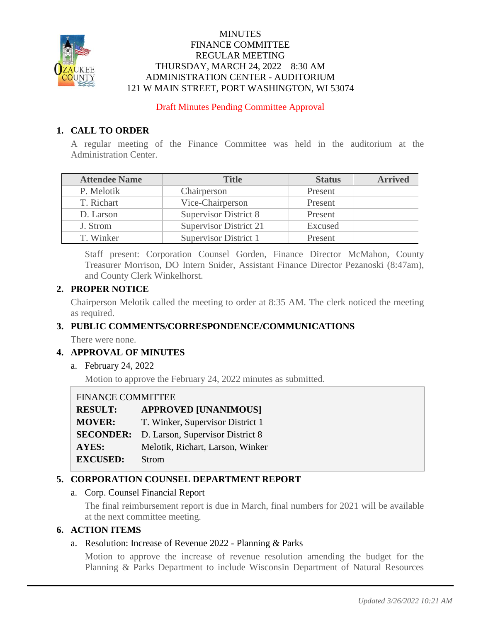

### **MINUTES** FINANCE COMMITTEE REGULAR MEETING THURSDAY, MARCH 24, 2022 – 8:30 AM ADMINISTRATION CENTER - AUDITORIUM 121 W MAIN STREET, PORT WASHINGTON, WI 53074

Draft Minutes Pending Committee Approval

# **1. CALL TO ORDER**

A regular meeting of the Finance Committee was held in the auditorium at the Administration Center.

| <b>Attendee Name</b> | <b>Title</b>                 | <b>Status</b> | <b>Arrived</b> |
|----------------------|------------------------------|---------------|----------------|
| P. Melotik           | Chairperson                  | Present       |                |
| T. Richart           | Vice-Chairperson             | Present       |                |
| D. Larson            | <b>Supervisor District 8</b> | Present       |                |
| J. Strom             | Supervisor District 21       | Excused       |                |
| T. Winker            | Supervisor District 1        | Present       |                |

Staff present: Corporation Counsel Gorden, Finance Director McMahon, County Treasurer Morrison, DO Intern Snider, Assistant Finance Director Pezanoski (8:47am), and County Clerk Winkelhorst.

### **2. PROPER NOTICE**

Chairperson Melotik called the meeting to order at 8:35 AM. The clerk noticed the meeting as required.

# **3. PUBLIC COMMENTS/CORRESPONDENCE/COMMUNICATIONS**

There were none.

### **4. APPROVAL OF MINUTES**

a. February 24, 2022

Motion to approve the February 24, 2022 minutes as submitted.

### FINANCE COMMITTEE

| <b>RESULT:</b>  | <b>APPROVED [UNANIMOUS]</b>                       |
|-----------------|---------------------------------------------------|
| <b>MOVER:</b>   | T. Winker, Supervisor District 1                  |
|                 | <b>SECONDER:</b> D. Larson, Supervisor District 8 |
| <b>AYES:</b>    | Melotik, Richart, Larson, Winker                  |
| <b>EXCUSED:</b> | <b>Strom</b>                                      |

# **5. CORPORATION COUNSEL DEPARTMENT REPORT**

### a. Corp. Counsel Financial Report

The final reimbursement report is due in March, final numbers for 2021 will be available at the next committee meeting.

### **6. ACTION ITEMS**

### a. Resolution: Increase of Revenue 2022 - Planning & Parks

Motion to approve the increase of revenue resolution amending the budget for the Planning & Parks Department to include Wisconsin Department of Natural Resources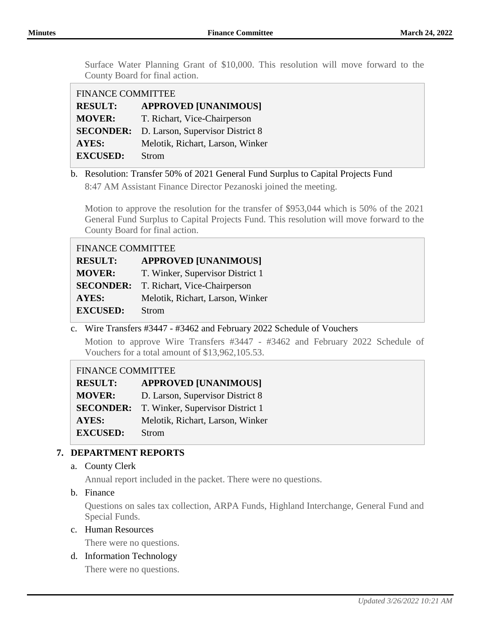Surface Water Planning Grant of \$10,000. This resolution will move forward to the County Board for final action.

| <b>FINANCE COMMITTEE</b> |                                  |  |
|--------------------------|----------------------------------|--|
| <b>RESULT:</b>           | <b>APPROVED [UNANIMOUS]</b>      |  |
| <b>MOVER:</b>            | T. Richart, Vice-Chairperson     |  |
| <b>SECONDER:</b>         | D. Larson, Supervisor District 8 |  |
| <b>AYES:</b>             | Melotik, Richart, Larson, Winker |  |
| <b>EXCUSED:</b>          | Strom                            |  |

b. Resolution: Transfer 50% of 2021 General Fund Surplus to Capital Projects Fund 8:47 AM Assistant Finance Director Pezanoski joined the meeting.

Motion to approve the resolution for the transfer of \$953,044 which is 50% of the 2021 General Fund Surplus to Capital Projects Fund. This resolution will move forward to the County Board for final action.

| <b>FINANCE COMMITTEE</b> |                                               |  |
|--------------------------|-----------------------------------------------|--|
| <b>RESULT:</b>           | <b>APPROVED [UNANIMOUS]</b>                   |  |
| <b>MOVER:</b>            | T. Winker, Supervisor District 1              |  |
|                          | <b>SECONDER:</b> T. Richart, Vice-Chairperson |  |
| AYES:                    | Melotik, Richart, Larson, Winker              |  |
| <b>EXCUSED:</b>          | Strom                                         |  |

c. Wire Transfers #3447 - #3462 and February 2022 Schedule of Vouchers

Motion to approve Wire Transfers #3447 - #3462 and February 2022 Schedule of Vouchers for a total amount of \$13,962,105.53.

### FINANCE COMMITTEE

| <b>RESULT:</b>   | <b>APPROVED [UNANIMOUS]</b>      |
|------------------|----------------------------------|
| <b>MOVER:</b>    | D. Larson, Supervisor District 8 |
| <b>SECONDER:</b> | T. Winker, Supervisor District 1 |
| AYES:            | Melotik, Richart, Larson, Winker |
| <b>EXCUSED:</b>  | <b>Strom</b>                     |

### **7. DEPARTMENT REPORTS**

a. County Clerk

Annual report included in the packet. There were no questions.

b. Finance

Questions on sales tax collection, ARPA Funds, Highland Interchange, General Fund and Special Funds.

### c. Human Resources

There were no questions.

### d. Information Technology

There were no questions.